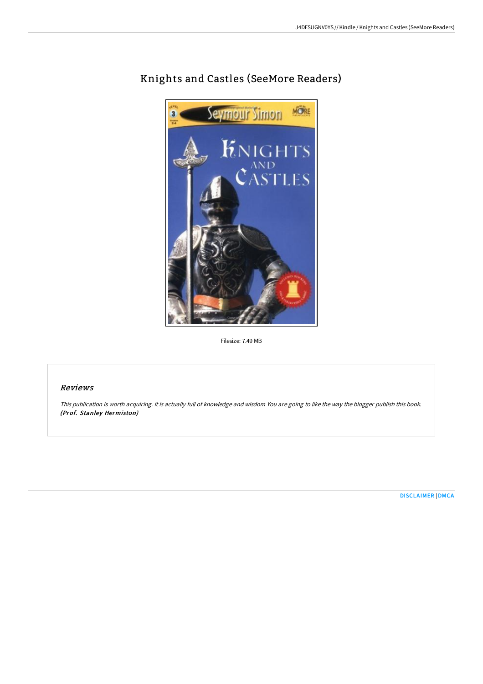

# Knights and Castles (SeeMore Readers)

Filesize: 7.49 MB

## Reviews

This publication is worth acquiring. It is actually full of knowledge and wisdom You are going to like the way the blogger publish this book. (Prof. Stanley Hermiston)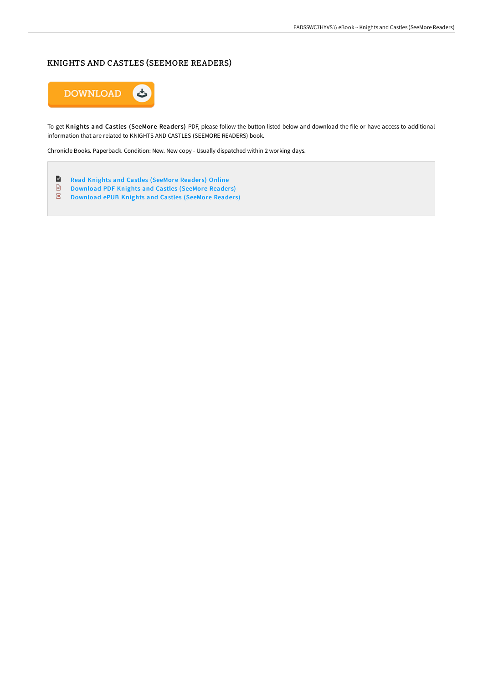# KNIGHTS AND CASTLES (SEEMORE READERS)



To get Knights and Castles (SeeMore Readers) PDF, please follow the button listed below and download the file or have access to additional information that are related to KNIGHTS AND CASTLES (SEEMORE READERS) book.

Chronicle Books. Paperback. Condition: New. New copy - Usually dispatched within 2 working days.

- $\blacksquare$ Read Knights and Castles [\(SeeMore](http://techno-pub.tech/knights-and-castles-seemore-readers.html) Readers) Online
- [Download](http://techno-pub.tech/knights-and-castles-seemore-readers.html) PDF Knights and Castles (SeeMore Readers)
- $\overline{\mathbf{p}\mathbf{w}}$ [Download](http://techno-pub.tech/knights-and-castles-seemore-readers.html) ePUB Knights and Castles (SeeMore Readers)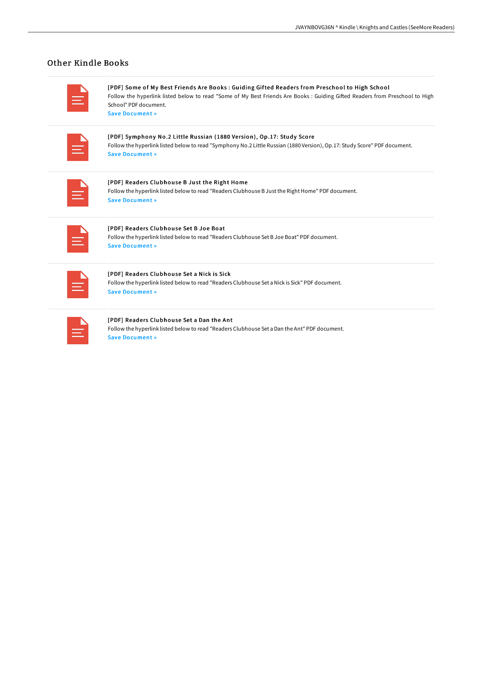## Other Kindle Books

| <b>Service Service</b><br>_                                                                                                                                          |  |
|----------------------------------------------------------------------------------------------------------------------------------------------------------------------|--|
| the control of the control of the<br>$\mathcal{L}^{\text{max}}_{\text{max}}$ and $\mathcal{L}^{\text{max}}_{\text{max}}$ and $\mathcal{L}^{\text{max}}_{\text{max}}$ |  |

[PDF] Some of My Best Friends Are Books : Guiding Gifted Readers from Preschool to High School Follow the hyperlink listed below to read "Some of My Best Friends Are Books : Guiding GiFed Readers from Preschool to High School" PDF document.

Save [Document](http://techno-pub.tech/some-of-my-best-friends-are-books-guiding-gifted.html) »

| <b>Contract Contract Contract Contract Contract Contract Contract Contract Contract Contract Contract Contract C</b> |                                                                                                                                 |                                                                                                                                                                                                                                                   |                        |  |
|----------------------------------------------------------------------------------------------------------------------|---------------------------------------------------------------------------------------------------------------------------------|---------------------------------------------------------------------------------------------------------------------------------------------------------------------------------------------------------------------------------------------------|------------------------|--|
|                                                                                                                      |                                                                                                                                 |                                                                                                                                                                                                                                                   |                        |  |
|                                                                                                                      | $\mathcal{L}^{\text{max}}_{\text{max}}$ and $\mathcal{L}^{\text{max}}_{\text{max}}$ and $\mathcal{L}^{\text{max}}_{\text{max}}$ | the control of the control of the control of<br>__                                                                                                                                                                                                | <b>Service Service</b> |  |
|                                                                                                                      |                                                                                                                                 | and the state of the state of the state of the state of the state of the state of the state of the state of th<br>$\mathcal{L}^{\text{max}}_{\text{max}}$ and $\mathcal{L}^{\text{max}}_{\text{max}}$ and $\mathcal{L}^{\text{max}}_{\text{max}}$ |                        |  |
|                                                                                                                      |                                                                                                                                 |                                                                                                                                                                                                                                                   |                        |  |

[PDF] Symphony No.2 Little Russian (1880 Version), Op.17: Study Score Follow the hyperlink listed below to read "Symphony No.2 Little Russian (1880 Version), Op.17: Study Score" PDF document. Save [Document](http://techno-pub.tech/symphony-no-2-little-russian-1880-version-op-17-.html) »

| $\mathcal{L}(\mathcal{L})$ and $\mathcal{L}(\mathcal{L})$ and $\mathcal{L}(\mathcal{L})$ and $\mathcal{L}(\mathcal{L})$                              |  |
|------------------------------------------------------------------------------------------------------------------------------------------------------|--|
| the control of the control of the control of                                                                                                         |  |
| $\mathcal{L}^{\text{max}}_{\text{max}}$ and $\mathcal{L}^{\text{max}}_{\text{max}}$ and $\mathcal{L}^{\text{max}}_{\text{max}}$<br><b>CONTRACTOR</b> |  |
| and the state of the state of the state of the state of the state of the state of the state of the state of th                                       |  |
| $\mathcal{L}^{\text{max}}_{\text{max}}$ and $\mathcal{L}^{\text{max}}_{\text{max}}$ and $\mathcal{L}^{\text{max}}_{\text{max}}$                      |  |
|                                                                                                                                                      |  |

[PDF] Readers Clubhouse B Just the Right Home Follow the hyperlink listed below to read "Readers Clubhouse B Justthe Right Home" PDF document. Save [Document](http://techno-pub.tech/readers-clubhouse-b-just-the-right-home-paperbac.html) »

|  | <b>Contract Contract Contract Contract Contract Contract Contract Contract Contract Contract Contract Contract C</b><br>____<br>______ | <b>Contract Contract Contract Contract Contract Contract Contract Contract Contract Contract Contract Contract C</b><br>$\mathcal{L}^{\text{max}}_{\text{max}}$ and $\mathcal{L}^{\text{max}}_{\text{max}}$ and $\mathcal{L}^{\text{max}}_{\text{max}}$ |  |
|--|----------------------------------------------------------------------------------------------------------------------------------------|---------------------------------------------------------------------------------------------------------------------------------------------------------------------------------------------------------------------------------------------------------|--|
|  |                                                                                                                                        | $\mathcal{L}^{\text{max}}_{\text{max}}$ and $\mathcal{L}^{\text{max}}_{\text{max}}$ and $\mathcal{L}^{\text{max}}_{\text{max}}$                                                                                                                         |  |

#### [PDF] Readers Clubhouse Set B Joe Boat

Follow the hyperlink listed below to read "Readers Clubhouse Set B Joe Boat" PDF document. Save [Document](http://techno-pub.tech/readers-clubhouse-set-b-joe-boat-paperback.html) »

| <b>Contract Contract Contract Contract Contract Contract Contract Contract Contract Contract Contract Contract C</b><br>$\mathcal{L}^{\text{max}}_{\text{max}}$ and $\mathcal{L}^{\text{max}}_{\text{max}}$ and $\mathcal{L}^{\text{max}}_{\text{max}}$ |  |
|---------------------------------------------------------------------------------------------------------------------------------------------------------------------------------------------------------------------------------------------------------|--|

#### [PDF] Readers Clubhouse Set a Nick is Sick

Follow the hyperlink listed below to read "Readers Clubhouse Set a Nick is Sick" PDF document. Save [Document](http://techno-pub.tech/readers-clubhouse-set-a-nick-is-sick-paperback.html) »

| and the state of the state of the state of the state of the state of the state of the state of the state of th<br><b>Contract Contract Contract Contract Contract Contract Contract Contract Contract Contract Contract Contract C</b> |  |
|----------------------------------------------------------------------------------------------------------------------------------------------------------------------------------------------------------------------------------------|--|

#### [PDF] Readers Clubhouse Set a Dan the Ant

Follow the hyperlink listed below to read "Readers Clubhouse Set a Dan the Ant" PDF document. Save [Document](http://techno-pub.tech/readers-clubhouse-set-a-dan-the-ant-paperback.html) »